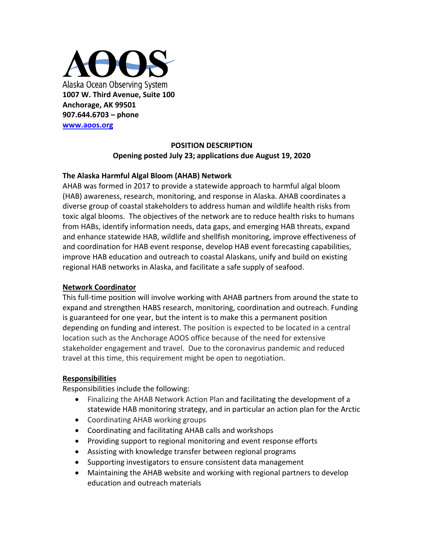

# **POSITION DESCRIPTION Opening posted July 23; applications due August 19, 2020**

### **The Alaska Harmful Algal Bloom (AHAB) Network**

AHAB was formed in 2017 to provide a statewide approach to harmful algal bloom (HAB) awareness, research, monitoring, and response in Alaska. AHAB coordinates a diverse group of coastal stakeholders to address human and wildlife health risks from toxic algal blooms. The objectives of the network are to reduce health risks to humans from HABs, identify information needs, data gaps, and emerging HAB threats, expand and enhance statewide HAB, wildlife and shellfish monitoring, improve effectiveness of and coordination for HAB event response, develop HAB event forecasting capabilities, improve HAB education and outreach to coastal Alaskans, unify and build on existing regional HAB networks in Alaska, and facilitate a safe supply of seafood.

#### **Network Coordinator**

This full-time position will involve working with AHAB partners from around the state to expand and strengthen HABS research, monitoring, coordination and outreach. Funding is guaranteed for one year, but the intent is to make this a permanent position depending on funding and interest. The position is expected to be located in a central location such as the Anchorage AOOS office because of the need for extensive stakeholder engagement and travel. Due to the coronavirus pandemic and reduced travel at this time, this requirement might be open to negotiation.

## **Responsibilities**

Responsibilities include the following:

- Finalizing the AHAB Network Action Plan and facilitating the development of a statewide HAB monitoring strategy, and in particular an action plan for the Arctic
- Coordinating AHAB working groups
- Coordinating and facilitating AHAB calls and workshops
- Providing support to regional monitoring and event response efforts
- Assisting with knowledge transfer between regional programs
- Supporting investigators to ensure consistent data management
- Maintaining the AHAB website and working with regional partners to develop education and outreach materials